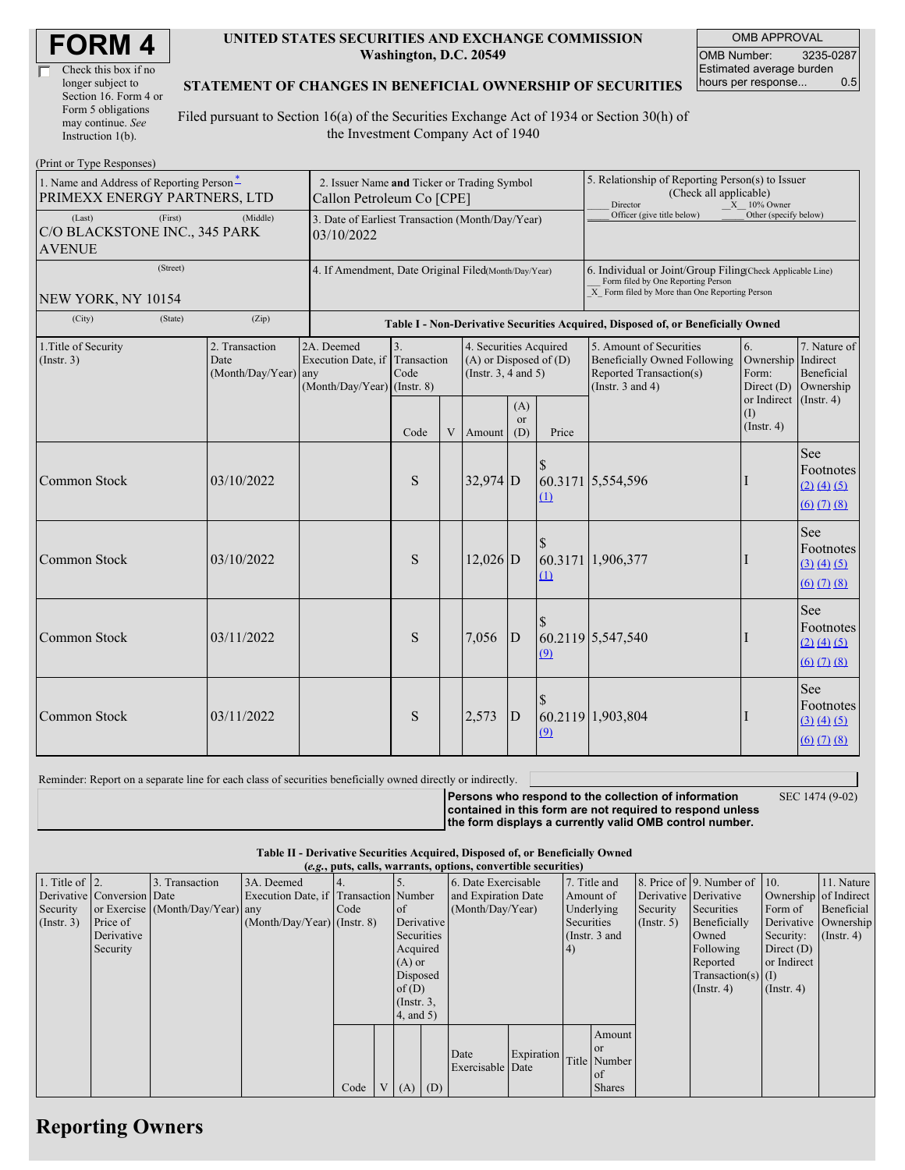| <b>FORM4</b> |
|--------------|
|--------------|

| Check this box if no  |
|-----------------------|
| longer subject to     |
| Section 16. Form 4 or |
| Form 5 obligations    |
| may continue. See     |
| Instruction 1(b).     |

#### **UNITED STATES SECURITIES AND EXCHANGE COMMISSION Washington, D.C. 20549**

OMB APPROVAL OMB Number: 3235-0287 Estimated average burden hours per response... 0.5

#### **STATEMENT OF CHANGES IN BENEFICIAL OWNERSHIP OF SECURITIES**

Filed pursuant to Section 16(a) of the Securities Exchange Act of 1934 or Section 30(h) of the Investment Company Act of 1940

| (Print or Type Responses)                                                            |                                                                          |                                                                               |                                                                                  |   |                                                                                  |                         |                                                                                                                                                    |                                                                                                             |                                                   |                                                                                          |
|--------------------------------------------------------------------------------------|--------------------------------------------------------------------------|-------------------------------------------------------------------------------|----------------------------------------------------------------------------------|---|----------------------------------------------------------------------------------|-------------------------|----------------------------------------------------------------------------------------------------------------------------------------------------|-------------------------------------------------------------------------------------------------------------|---------------------------------------------------|------------------------------------------------------------------------------------------|
| 1. Name and Address of Reporting Person <sup>*</sup><br>PRIMEXX ENERGY PARTNERS, LTD | 2. Issuer Name and Ticker or Trading Symbol<br>Callon Petroleum Co [CPE] |                                                                               |                                                                                  |   |                                                                                  |                         | 5. Relationship of Reporting Person(s) to Issuer<br>(Check all applicable)<br>Director<br>$X = 10\%$ Owner                                         |                                                                                                             |                                                   |                                                                                          |
| (Last)<br>(First)<br>C/O BLACKSTONE INC., 345 PARK<br><b>AVENUE</b>                  | 3. Date of Earliest Transaction (Month/Day/Year)<br>03/10/2022           |                                                                               |                                                                                  |   |                                                                                  |                         | Officer (give title below)                                                                                                                         | Other (specify below)                                                                                       |                                                   |                                                                                          |
| (Street)<br>NEW YORK, NY 10154                                                       | 4. If Amendment, Date Original Filed(Month/Day/Year)                     |                                                                               |                                                                                  |   |                                                                                  |                         | 6. Individual or Joint/Group Filing(Check Applicable Line)<br>Form filed by One Reporting Person<br>X Form filed by More than One Reporting Person |                                                                                                             |                                                   |                                                                                          |
| (City)<br>(State)                                                                    | (Zip)                                                                    |                                                                               | Table I - Non-Derivative Securities Acquired, Disposed of, or Beneficially Owned |   |                                                                                  |                         |                                                                                                                                                    |                                                                                                             |                                                   |                                                                                          |
| 1. Title of Security<br>(Insert. 3)                                                  | 2. Transaction<br>Date<br>$(Month/Day/Year)$ any                         | 2A. Deemed<br>Execution Date, if Transaction<br>$(Month/Day/Year)$ (Instr. 8) | 3.<br>Code                                                                       |   | 4. Securities Acquired<br>$(A)$ or Disposed of $(D)$<br>(Instr. $3, 4$ and $5$ ) |                         |                                                                                                                                                    | 5. Amount of Securities<br>Beneficially Owned Following<br>Reported Transaction(s)<br>(Instr. $3$ and $4$ ) | 6.<br>Ownership Indirect<br>Form:<br>Direct $(D)$ | 7. Nature of<br>Beneficial<br>Ownership                                                  |
|                                                                                      |                                                                          |                                                                               | Code                                                                             | V | Amount                                                                           | (A)<br><b>or</b><br>(D) | Price                                                                                                                                              |                                                                                                             | or Indirect<br>(1)<br>$($ Instr. 4 $)$            | $($ Instr. 4)                                                                            |
| Common Stock                                                                         | 03/10/2022                                                               |                                                                               | ${\bf S}$                                                                        |   | $32,974$ D                                                                       |                         | $\mathbf{\underline{u}}$                                                                                                                           | 60.3171 5,554,596                                                                                           |                                                   | See<br>Footnotes<br>$(2)$ $(4)$ $(5)$<br>$(6)$ $(7)$ $(8)$                               |
| Common Stock                                                                         | 03/10/2022                                                               |                                                                               | S                                                                                |   | $12,026$ D                                                                       |                         | (1)                                                                                                                                                | 60.3171 1,906,377                                                                                           |                                                   | See<br>Footnotes<br>(3) (4) (5)<br>$(6)$ $(7)$ $(8)$                                     |
| <b>Common Stock</b>                                                                  | 03/11/2022                                                               |                                                                               | S                                                                                |   | 7,056                                                                            | D                       | (9)                                                                                                                                                | 60.2119 5,547,540                                                                                           |                                                   | See<br>Footnotes<br>$(2)$ $(4)$ $(5)$<br>$(6)$ $(7)$ $(8)$                               |
| Common Stock                                                                         | 03/11/2022                                                               |                                                                               | S                                                                                |   | 2,573                                                                            | D                       | (9)                                                                                                                                                | 60.2119 1,903,804                                                                                           | -                                                 | See<br>Footnotes<br>(3) (4) (5)<br>$\underline{(6)}$ $\underline{(7)}$ $\underline{(8)}$ |

Reminder: Report on a separate line for each class of securities beneficially owned directly or indirectly.

**Persons who respond to the collection of information**

SEC 1474 (9-02)

**contained in this form are not required to respond unless the form displays a currently valid OMB control number.**

**Table II - Derivative Securities Acquired, Disposed of, or Beneficially Owned (***e.g.***, puts, calls, warrants, options, convertible securities)**

| $(0.5, 0.005, 0.005, 0.0005, 0.00005, 0.0000, 0.0000, 0.0000, 0.0000, 0.0000, 0.0000, 0.0000, 0.0000, 0.0000, 0.0000, 0.0000, 0.0000, 0.0000, 0.0000, 0.0000, 0.0000, 0.0000, 0.0000, 0.0000, 0.0000, 0.0000, 0.0000, 0.0000,$ |                            |                                  |                                       |      |  |                  |  |                     |            |            |               |                       |                              |                  |                       |
|--------------------------------------------------------------------------------------------------------------------------------------------------------------------------------------------------------------------------------|----------------------------|----------------------------------|---------------------------------------|------|--|------------------|--|---------------------|------------|------------|---------------|-----------------------|------------------------------|------------------|-----------------------|
| 1. Title of $\vert$ 2.                                                                                                                                                                                                         |                            | 3. Transaction                   | 3A. Deemed                            |      |  |                  |  | 6. Date Exercisable |            |            | 7. Title and  |                       | 8. Price of 9. Number of 10. |                  | 11. Nature            |
|                                                                                                                                                                                                                                | Derivative Conversion Date |                                  | Execution Date, if Transaction Number |      |  |                  |  | and Expiration Date |            |            | Amount of     | Derivative Derivative |                              |                  | Ownership of Indirect |
| Security                                                                                                                                                                                                                       |                            | or Exercise (Month/Day/Year) any |                                       | Code |  | <b>l</b> of      |  | (Month/Day/Year)    |            |            | Underlying    | Security              | Securities                   | Form of          | Beneficial            |
| $($ Instr. 3 $)$                                                                                                                                                                                                               | Price of                   |                                  | $(Month/Day/Year)$ (Instr. 8)         |      |  | Derivative       |  |                     |            | Securities |               | (Insert. 5)           | Beneficially                 |                  | Derivative Ownership  |
|                                                                                                                                                                                                                                | Derivative                 |                                  |                                       |      |  | Securities       |  |                     |            |            | (Instr. 3 and |                       | Owned                        | Security:        | $($ Instr. 4 $)$      |
|                                                                                                                                                                                                                                | Security                   |                                  |                                       |      |  | Acquired         |  |                     |            | (4)        |               |                       | Following                    | Direct $(D)$     |                       |
|                                                                                                                                                                                                                                |                            |                                  |                                       |      |  | $(A)$ or         |  |                     |            |            |               |                       | Reported                     | or Indirect      |                       |
|                                                                                                                                                                                                                                |                            |                                  |                                       |      |  | Disposed         |  |                     |            |            |               |                       | $Transaction(s)$ (I)         |                  |                       |
|                                                                                                                                                                                                                                |                            |                                  |                                       |      |  | of $(D)$         |  |                     |            |            |               |                       | $($ Instr. 4 $)$             | $($ Instr. 4 $)$ |                       |
|                                                                                                                                                                                                                                |                            |                                  |                                       |      |  | $($ Instr. $3$ , |  |                     |            |            |               |                       |                              |                  |                       |
|                                                                                                                                                                                                                                |                            |                                  |                                       |      |  | 4, and 5)        |  |                     |            |            |               |                       |                              |                  |                       |
|                                                                                                                                                                                                                                |                            |                                  |                                       |      |  |                  |  |                     |            |            | Amount        |                       |                              |                  |                       |
|                                                                                                                                                                                                                                |                            |                                  |                                       |      |  |                  |  |                     |            |            | <b>or</b>     |                       |                              |                  |                       |
|                                                                                                                                                                                                                                |                            |                                  |                                       |      |  |                  |  | Date                | Expiration |            | Title Number  |                       |                              |                  |                       |
|                                                                                                                                                                                                                                |                            |                                  |                                       |      |  |                  |  | Exercisable Date    |            |            | <b>of</b>     |                       |                              |                  |                       |
|                                                                                                                                                                                                                                |                            |                                  |                                       | Code |  | $V(A)$ (D)       |  |                     |            |            | <b>Shares</b> |                       |                              |                  |                       |

## **Reporting Owners**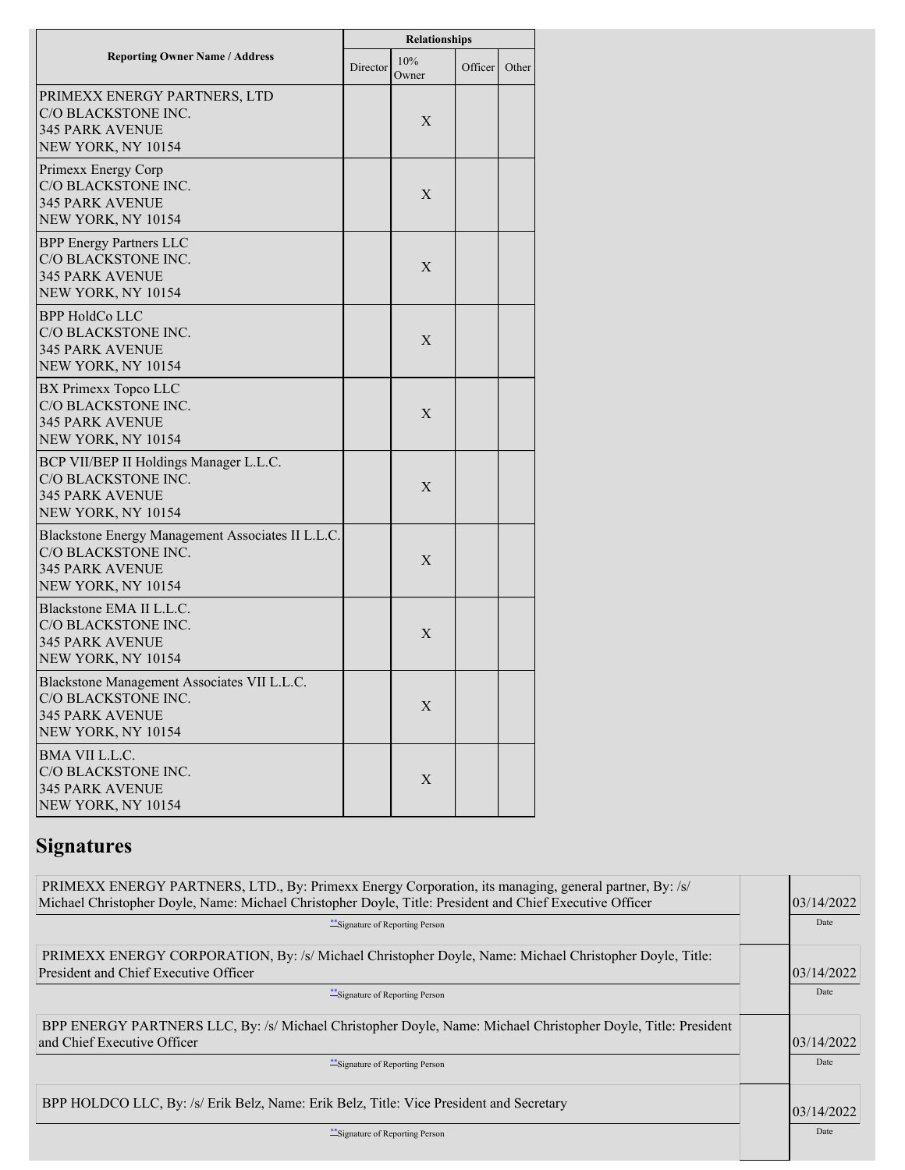|                                                                                                                          | Relationships |              |         |       |  |  |
|--------------------------------------------------------------------------------------------------------------------------|---------------|--------------|---------|-------|--|--|
| <b>Reporting Owner Name / Address</b>                                                                                    | Director      | 10%<br>Owner | Officer | Other |  |  |
| PRIMEXX ENERGY PARTNERS, LTD<br>C/O BLACKSTONE INC.<br><b>345 PARK AVENUE</b><br>NEW YORK, NY 10154                      |               | X            |         |       |  |  |
| Primexx Energy Corp<br>C/O BLACKSTONE INC.<br><b>345 PARK AVENUE</b><br>NEW YORK, NY 10154                               |               | X            |         |       |  |  |
| <b>BPP Energy Partners LLC</b><br>C/O BLACKSTONE INC.<br><b>345 PARK AVENUE</b><br>NEW YORK, NY 10154                    |               | X            |         |       |  |  |
| <b>BPP HoldCo LLC</b><br>C/O BLACKSTONE INC.<br><b>345 PARK AVENUE</b><br>NEW YORK, NY 10154                             |               | X            |         |       |  |  |
| BX Primexx Topco LLC<br>C/O BLACKSTONE INC.<br><b>345 PARK AVENUE</b><br>NEW YORK, NY 10154                              |               | X            |         |       |  |  |
| BCP VII/BEP II Holdings Manager L.L.C.<br>C/O BLACKSTONE INC.<br><b>345 PARK AVENUE</b><br>NEW YORK, NY 10154            |               | X            |         |       |  |  |
| Blackstone Energy Management Associates II L.L.C.<br>C/O BLACKSTONE INC.<br><b>345 PARK AVENUE</b><br>NEW YORK, NY 10154 |               | X            |         |       |  |  |
| Blackstone EMA II L.L.C.<br>C/O BLACKSTONE INC.<br><b>345 PARK AVENUE</b><br>NEW YORK, NY 10154                          |               | X            |         |       |  |  |
| Blackstone Management Associates VII L.L.C.<br>C/O BLACKSTONE INC.<br><b>345 PARK AVENUE</b><br>NEW YORK, NY 10154       |               | X            |         |       |  |  |
| BMA VII L.L.C.<br>C/O BLACKSTONE INC.<br><b>345 PARK AVENUE</b><br>NEW YORK, NY 10154                                    |               | X            |         |       |  |  |

# **Signatures**

| PRIMEXX ENERGY PARTNERS, LTD., By: Primexx Energy Corporation, its managing, general partner, By: /s/<br>Michael Christopher Doyle, Name: Michael Christopher Doyle, Title: President and Chief Executive Officer | 03/14/2022  |
|-------------------------------------------------------------------------------------------------------------------------------------------------------------------------------------------------------------------|-------------|
| ** Signature of Reporting Person                                                                                                                                                                                  | Date        |
| PRIMEXX ENERGY CORPORATION, By: /s/ Michael Christopher Doyle, Name: Michael Christopher Doyle, Title:<br><b>President and Chief Executive Officer</b>                                                            | 03/14/2022  |
| ** Signature of Reporting Person                                                                                                                                                                                  | Date        |
| BPP ENERGY PARTNERS LLC, By: /s/ Michael Christopher Doyle, Name: Michael Christopher Doyle, Title: President<br>and Chief Executive Officer                                                                      | 103/14/2022 |
| **Signature of Reporting Person                                                                                                                                                                                   | Date        |
| BPP HOLDCO LLC, By: /s/ Erik Belz, Name: Erik Belz, Title: Vice President and Secretary                                                                                                                           | 03/14/2022  |
| "Signature of Reporting Person                                                                                                                                                                                    | Date        |
|                                                                                                                                                                                                                   |             |